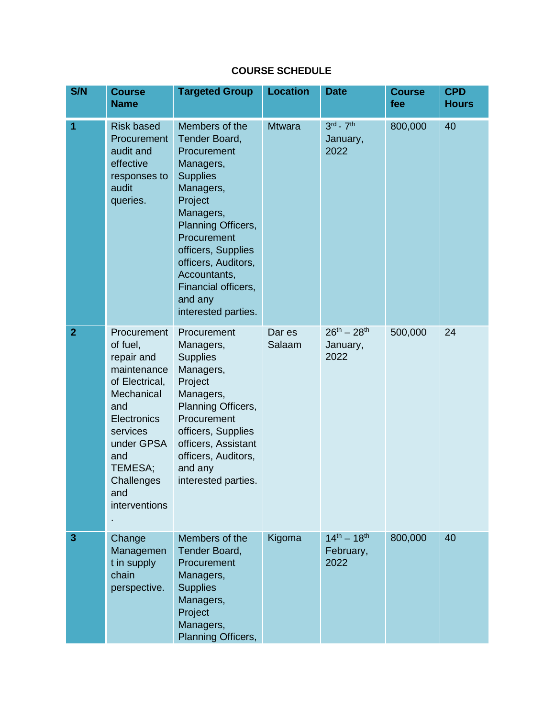## **COURSE SCHEDULE**

| S/N            | <b>Course</b><br><b>Name</b>                                                                                                                                                                 | <b>Targeted Group</b>                                                                                                                                                                                                                                                          | <b>Location</b>  | <b>Date</b>                              | <b>Course</b><br>fee | <b>CPD</b><br><b>Hours</b> |
|----------------|----------------------------------------------------------------------------------------------------------------------------------------------------------------------------------------------|--------------------------------------------------------------------------------------------------------------------------------------------------------------------------------------------------------------------------------------------------------------------------------|------------------|------------------------------------------|----------------------|----------------------------|
| 1              | <b>Risk based</b><br><b>Procurement</b><br>audit and<br>effective<br>responses to<br>audit<br>queries.                                                                                       | Members of the<br>Tender Board,<br>Procurement<br>Managers,<br><b>Supplies</b><br>Managers,<br>Project<br>Managers,<br>Planning Officers,<br>Procurement<br>officers, Supplies<br>officers, Auditors,<br>Accountants,<br>Financial officers,<br>and any<br>interested parties. | <b>Mtwara</b>    | $3rd - 7th$<br>January,<br>2022          | 800,000              | 40                         |
| $\overline{2}$ | Procurement<br>of fuel,<br>repair and<br>maintenance<br>of Electrical,<br>Mechanical<br>and<br>Electronics<br>services<br>under GPSA<br>and<br>TEMESA;<br>Challenges<br>and<br>interventions | Procurement<br>Managers,<br><b>Supplies</b><br>Managers,<br>Project<br>Managers,<br>Planning Officers,<br>Procurement<br>officers, Supplies<br>officers, Assistant<br>officers, Auditors,<br>and any<br>interested parties.                                                    | Dar es<br>Salaam | $26^{th} - 28^{th}$<br>January,<br>2022  | 500,000              | 24                         |
| 3              | Change<br>Managemen<br>t in supply<br>chain<br>perspective.                                                                                                                                  | Members of the<br>Tender Board,<br>Procurement<br>Managers,<br><b>Supplies</b><br>Managers,<br>Project<br>Managers,<br>Planning Officers,                                                                                                                                      | Kigoma           | $14^{th} - 18^{th}$<br>February,<br>2022 | 800,000              | 40                         |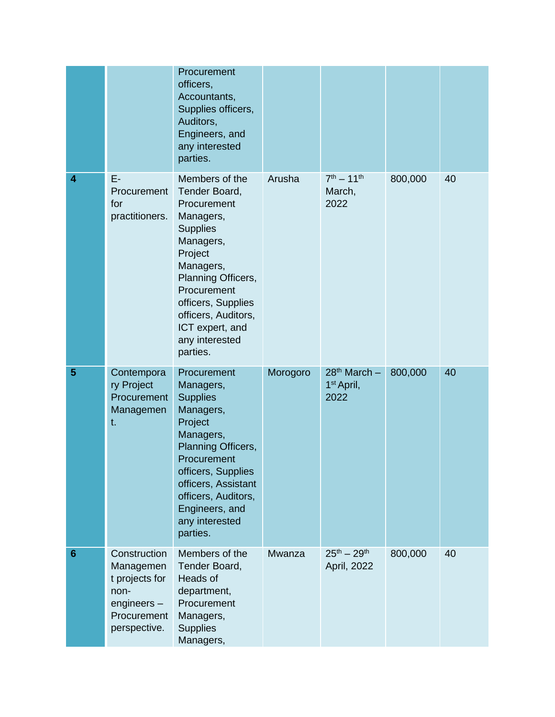|                 |                                                                                                  | Procurement<br>officers,<br>Accountants,<br>Supplies officers,<br>Auditors,<br>Engineers, and<br>any interested<br>parties.                                                                                                                            |          |                                                    |         |    |
|-----------------|--------------------------------------------------------------------------------------------------|--------------------------------------------------------------------------------------------------------------------------------------------------------------------------------------------------------------------------------------------------------|----------|----------------------------------------------------|---------|----|
| 4               | E-<br>Procurement<br>for<br>practitioners.                                                       | Members of the<br>Tender Board,<br>Procurement<br>Managers,<br><b>Supplies</b><br>Managers,<br>Project<br>Managers,<br>Planning Officers,<br>Procurement<br>officers, Supplies<br>officers, Auditors,<br>ICT expert, and<br>any interested<br>parties. | Arusha   | $7^{th} - 11^{th}$<br>March,<br>2022               | 800,000 | 40 |
| 5               | Contempora<br>ry Project<br>Procurement<br>Managemen<br>t.                                       | Procurement<br>Managers,<br><b>Supplies</b><br>Managers,<br>Project<br>Managers,<br>Planning Officers,<br>Procurement<br>officers, Supplies<br>officers, Assistant<br>officers, Auditors,<br>Engineers, and<br>any interested<br>parties.              | Morogoro | $28th$ March $-$<br>1 <sup>st</sup> April,<br>2022 | 800,000 | 40 |
| $6\phantom{1}6$ | Construction<br>Managemen<br>t projects for<br>non-<br>engineers-<br>Procurement<br>perspective. | Members of the<br>Tender Board,<br>Heads of<br>department,<br>Procurement<br>Managers,<br><b>Supplies</b><br>Managers,                                                                                                                                 | Mwanza   | $25^{th} - 29^{th}$<br>April, 2022                 | 800,000 | 40 |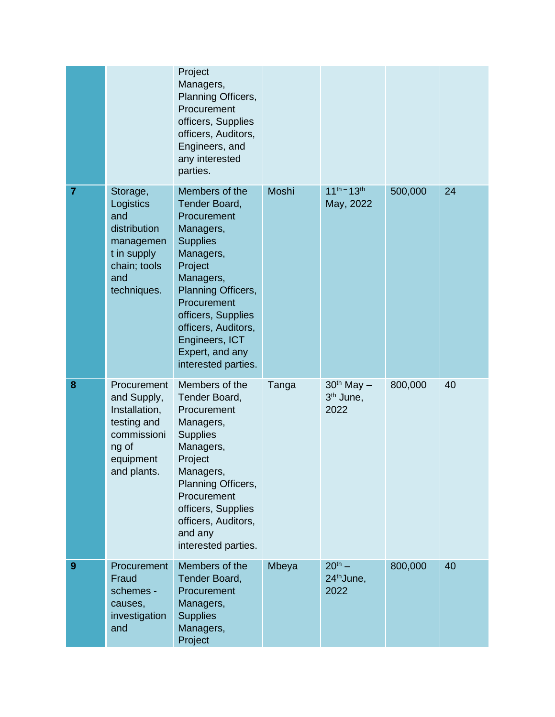|   |                                                                                                                | Project<br>Managers,<br>Planning Officers,<br>Procurement<br>officers, Supplies<br>officers, Auditors,<br>Engineers, and<br>any interested<br>parties.                                                                                                            |       |                                                 |         |    |
|---|----------------------------------------------------------------------------------------------------------------|-------------------------------------------------------------------------------------------------------------------------------------------------------------------------------------------------------------------------------------------------------------------|-------|-------------------------------------------------|---------|----|
| 7 | Storage,<br>Logistics<br>and<br>distribution<br>managemen<br>t in supply<br>chain; tools<br>and<br>techniques. | Members of the<br>Tender Board,<br>Procurement<br>Managers,<br><b>Supplies</b><br>Managers,<br>Project<br>Managers,<br>Planning Officers,<br>Procurement<br>officers, Supplies<br>officers, Auditors,<br>Engineers, ICT<br>Expert, and any<br>interested parties. | Moshi | $11^{th} - 13^{th}$<br>May, 2022                | 500,000 | 24 |
| 8 | Procurement<br>and Supply,<br>Installation,<br>testing and<br>commissioni<br>ng of<br>equipment<br>and plants. | Members of the<br>Tender Board,<br>Procurement<br>Managers,<br><b>Supplies</b><br>Managers,<br>Project<br>Managers,<br>Planning Officers,<br>Procurement<br>officers, Supplies<br>officers, Auditors,<br>and any<br>interested parties.                           | Tanga | $30th$ May $-$<br>3 <sup>th</sup> June,<br>2022 | 800,000 | 40 |
| 9 | Procurement<br>Fraud<br>schemes -<br>causes,<br>investigation<br>and                                           | Members of the<br>Tender Board,<br>Procurement<br>Managers,<br><b>Supplies</b><br>Managers,<br>Project                                                                                                                                                            | Mbeya | $20^{th} -$<br>24 <sup>th</sup> June,<br>2022   | 800,000 | 40 |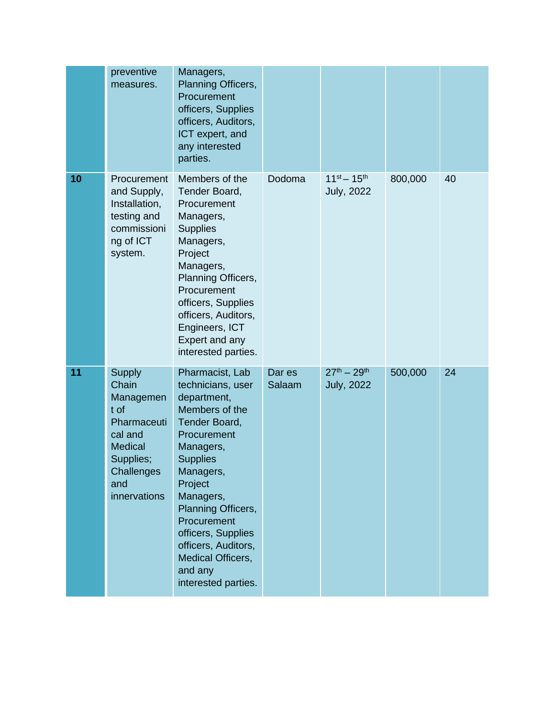|    | preventive<br>measures.                                                                                                                   | Managers,<br>Planning Officers,<br>Procurement<br>officers, Supplies<br>officers, Auditors,<br>ICT expert, and<br>any interested<br>parties.                                                                                                                                                                        |                  |                                          |         |    |
|----|-------------------------------------------------------------------------------------------------------------------------------------------|---------------------------------------------------------------------------------------------------------------------------------------------------------------------------------------------------------------------------------------------------------------------------------------------------------------------|------------------|------------------------------------------|---------|----|
| 10 | Procurement<br>and Supply,<br>Installation,<br>testing and<br>commissioni<br>ng of ICT<br>system.                                         | Members of the<br>Tender Board,<br>Procurement<br>Managers,<br><b>Supplies</b><br>Managers,<br>Project<br>Managers,<br>Planning Officers,<br>Procurement<br>officers, Supplies<br>officers, Auditors,<br>Engineers, ICT<br>Expert and any<br>interested parties.                                                    | Dodoma           | $11^{st} - 15^{th}$<br><b>July, 2022</b> | 800,000 | 40 |
| 11 | <b>Supply</b><br>Chain<br>Managemen<br>t of<br>Pharmaceuti<br>cal and<br><b>Medical</b><br>Supplies;<br>Challenges<br>and<br>innervations | Pharmacist, Lab<br>technicians, user<br>department,<br>Members of the<br>Tender Board,<br>Procurement<br>Managers,<br><b>Supplies</b><br>Managers,<br>Project<br>Managers,<br>Planning Officers,<br>Procurement<br>officers, Supplies<br>officers, Auditors,<br>Medical Officers,<br>and any<br>interested parties. | Dar es<br>Salaam | $27^{th} - 29^{th}$<br><b>July, 2022</b> | 500,000 | 24 |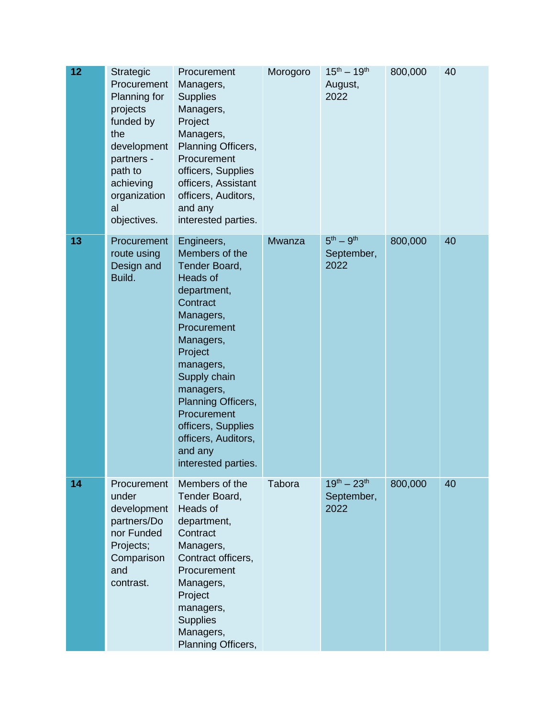| 12 | Strategic<br>Procurement<br>Planning for<br>projects<br>funded by<br>the<br>development<br>partners -<br>path to<br>achieving<br>organization<br>al<br>objectives. | Procurement<br>Managers,<br><b>Supplies</b><br>Managers,<br>Project<br>Managers,<br>Planning Officers,<br>Procurement<br>officers, Supplies<br>officers, Assistant<br>officers, Auditors,<br>and any<br>interested parties.                                                                                   | Morogoro      | $15^{th} - 19^{th}$<br>August,<br>2022    | 800,000 | 40 |
|----|--------------------------------------------------------------------------------------------------------------------------------------------------------------------|---------------------------------------------------------------------------------------------------------------------------------------------------------------------------------------------------------------------------------------------------------------------------------------------------------------|---------------|-------------------------------------------|---------|----|
| 13 | Procurement<br>route using<br>Design and<br>Build.                                                                                                                 | Engineers,<br>Members of the<br>Tender Board,<br><b>Heads of</b><br>department,<br>Contract<br>Managers,<br>Procurement<br>Managers,<br>Project<br>managers,<br>Supply chain<br>managers,<br>Planning Officers,<br>Procurement<br>officers, Supplies<br>officers, Auditors,<br>and any<br>interested parties. | <b>Mwanza</b> | $5th - 9th$<br>September,<br>2022         | 800,000 | 40 |
| 14 | Procurement<br>under<br>development<br>partners/Do<br>nor Funded<br>Projects;<br>Comparison<br>and<br>contrast.                                                    | Members of the<br>Tender Board,<br>Heads of<br>department,<br>Contract<br>Managers,<br>Contract officers,<br>Procurement<br>Managers,<br>Project<br>managers,<br><b>Supplies</b><br>Managers,<br>Planning Officers,                                                                                           | Tabora        | $19^{th} - 23^{th}$<br>September,<br>2022 | 800,000 | 40 |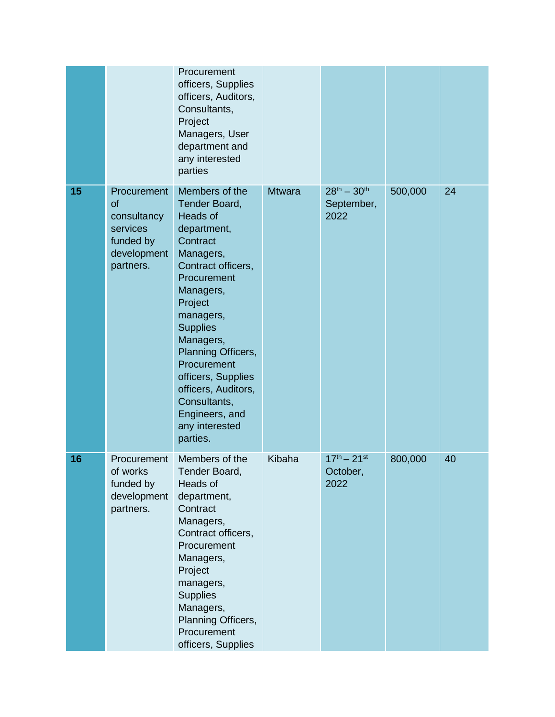|    |                                                                                       | Procurement<br>officers, Supplies<br>officers, Auditors,<br>Consultants,<br>Project<br>Managers, User<br>department and<br>any interested<br>parties                                                                                                                                                                                            |               |                                           |         |    |
|----|---------------------------------------------------------------------------------------|-------------------------------------------------------------------------------------------------------------------------------------------------------------------------------------------------------------------------------------------------------------------------------------------------------------------------------------------------|---------------|-------------------------------------------|---------|----|
| 15 | Procurement<br>of<br>consultancy<br>services<br>funded by<br>development<br>partners. | Members of the<br>Tender Board,<br>Heads of<br>department,<br>Contract<br>Managers,<br>Contract officers,<br>Procurement<br>Managers,<br>Project<br>managers,<br><b>Supplies</b><br>Managers,<br>Planning Officers,<br>Procurement<br>officers, Supplies<br>officers, Auditors,<br>Consultants,<br>Engineers, and<br>any interested<br>parties. | <b>Mtwara</b> | $28^{th} - 30^{th}$<br>September,<br>2022 | 500,000 | 24 |
| 16 | Procurement<br>of works<br>funded by<br>development<br>partners.                      | Members of the<br>Tender Board,<br>Heads of<br>department,<br>Contract<br>Managers,<br>Contract officers,<br>Procurement<br>Managers,<br>Project<br>managers,<br><b>Supplies</b><br>Managers,<br>Planning Officers,<br>Procurement<br>officers, Supplies                                                                                        | Kibaha        | $17^{th} - 21^{st}$<br>October,<br>2022   | 800,000 | 40 |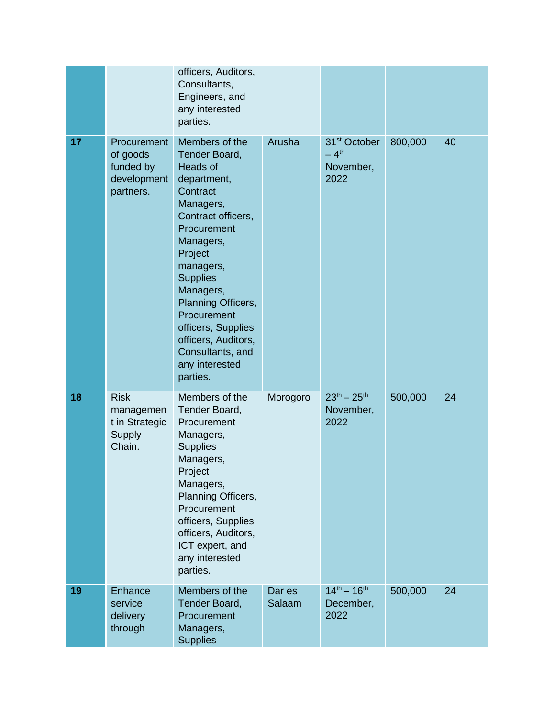|    |                                                                         | officers, Auditors,<br>Consultants,<br>Engineers, and<br>any interested<br>parties.                                                                                                                                                                                                                                               |                  |                                                                     |         |    |
|----|-------------------------------------------------------------------------|-----------------------------------------------------------------------------------------------------------------------------------------------------------------------------------------------------------------------------------------------------------------------------------------------------------------------------------|------------------|---------------------------------------------------------------------|---------|----|
| 17 | <b>Procurement</b><br>of goods<br>funded by<br>development<br>partners. | Members of the<br>Tender Board,<br>Heads of<br>department,<br>Contract<br>Managers,<br>Contract officers,<br>Procurement<br>Managers,<br>Project<br>managers,<br><b>Supplies</b><br>Managers,<br>Planning Officers,<br>Procurement<br>officers, Supplies<br>officers, Auditors,<br>Consultants, and<br>any interested<br>parties. | Arusha           | 31 <sup>st</sup> October<br>$-4$ <sup>th</sup><br>November,<br>2022 | 800,000 | 40 |
| 18 | <b>Risk</b><br>managemen<br>t in Strategic<br>Supply<br>Chain.          | Members of the<br>Tender Board,<br>Procurement<br>Managers,<br><b>Supplies</b><br>Managers,<br>Project<br>Managers,<br>Planning Officers,<br>Procurement<br>officers, Supplies<br>officers, Auditors,<br>ICT expert, and<br>any interested<br>parties.                                                                            | Morogoro         | $23^{th} - 25^{th}$<br>November,<br>2022                            | 500,000 | 24 |
| 19 | Enhance<br>service<br>delivery<br>through                               | Members of the<br>Tender Board,<br>Procurement<br>Managers,<br><b>Supplies</b>                                                                                                                                                                                                                                                    | Dar es<br>Salaam | $14^{th} - 16^{th}$<br>December,<br>2022                            | 500,000 | 24 |